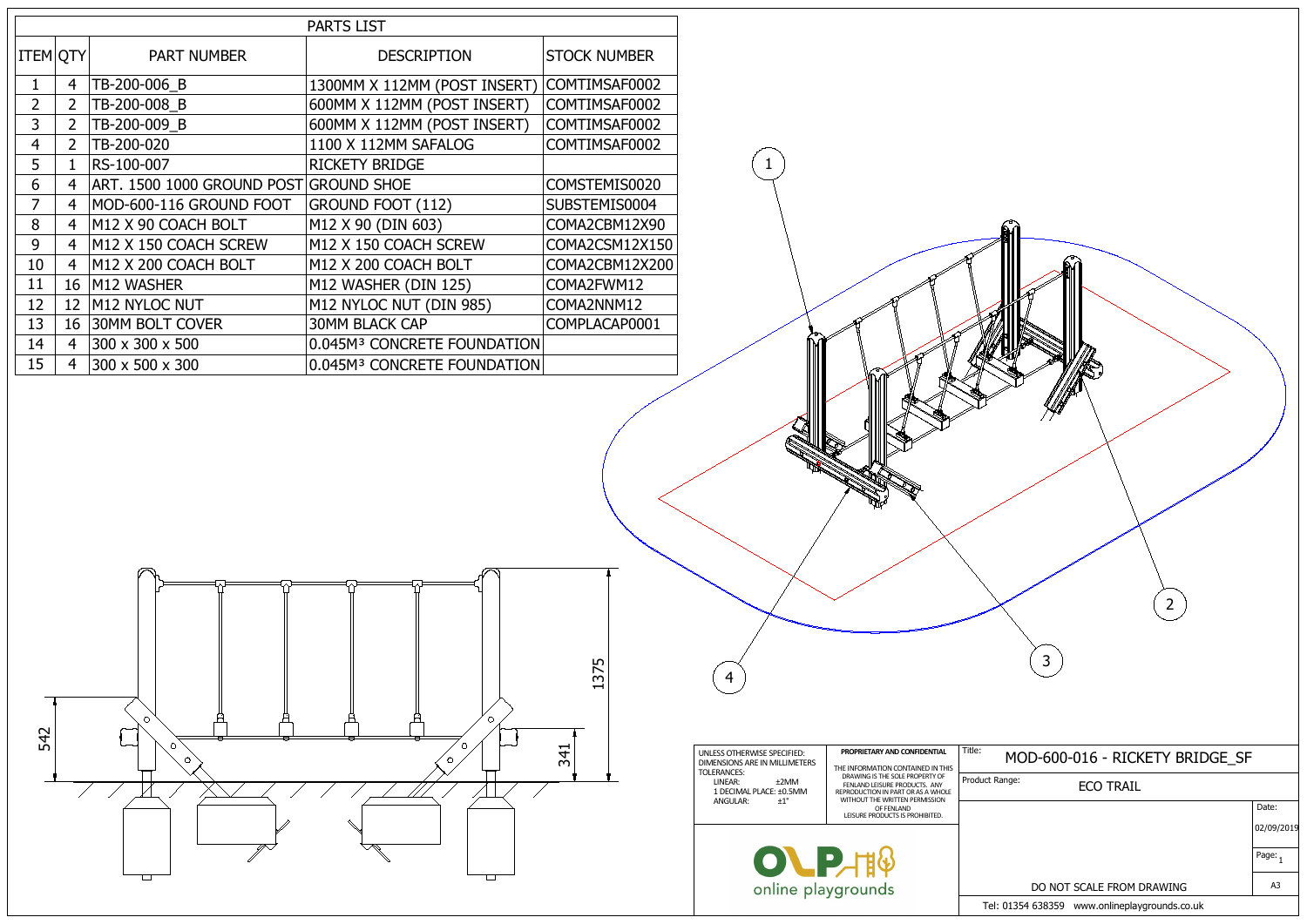| <b>PARTS LIST</b> |                 |                            |                                         |                     |  |
|-------------------|-----------------|----------------------------|-----------------------------------------|---------------------|--|
| <b>ITEM OTY</b>   |                 | <b>PART NUMBER</b>         | <b>DESCRIPTION</b>                      | <b>STOCK NUMBER</b> |  |
| $\mathbf{1}$      | $\overline{4}$  | TB-200-006 B               | 1300MM X 112MM (POST INSERT)            | COMTIMSAF0002       |  |
| $\overline{2}$    | 2 <sup>1</sup>  | TB-200-008 B               | 600MM X 112MM (POST INSERT)             | COMTIMSAF0002       |  |
| $\overline{3}$    | $\overline{2}$  | TB-200-009 B               | 600MM X 112MM (POST INSERT)             | COMTIMSAF0002       |  |
| $\overline{4}$    | $2^{\circ}$     | TB-200-020                 | 1100 X 112MM SAFALOG                    | COMTIMSAF0002       |  |
| 5                 | 1               | RS-100-007                 | <b>RICKETY BRIDGE</b>                   |                     |  |
| 6                 | $\overline{4}$  | ART. 1500 1000 GROUND POST | <b>GROUND SHOE</b>                      | COMSTEMIS0020       |  |
| $\overline{7}$    | $\overline{4}$  | MOD-600-116 GROUND FOOT    | <b>GROUND FOOT (112)</b>                | SUBSTEMIS0004       |  |
| 8                 | $\overline{4}$  | M12 X 90 COACH BOLT        | M12 X 90 (DIN 603)                      | COMA2CBM12X90       |  |
| 9                 | $\overline{4}$  | M12 X 150 COACH SCREW      | M12 X 150 COACH SCREW                   | COMA2CSM12X150      |  |
| 10                | $\overline{4}$  | M12 X 200 COACH BOLT       | M12 X 200 COACH BOLT                    | COMA2CBM12X200      |  |
| 11                | 16              | M12 WASHER                 | M12 WASHER (DIN 125)                    | COMA2FWM12          |  |
| 12                | 12 <sup>2</sup> | M12 NYLOC NUT              | M12 NYLOC NUT (DIN 985)                 | COMA2NNM12          |  |
| 13                | 16              | 30MM BOLT COVER            | <b>30MM BLACK CAP</b>                   | COMPLACAP0001       |  |
| 14                | $\overline{4}$  | 300 x 300 x 500            | 0.045M <sup>3</sup> CONCRETE FOUNDATION |                     |  |
| 15                | $\overline{4}$  | 300 x 500 x 300            | 0.045M <sup>3</sup> CONCRETE FOUNDATION |                     |  |

| $\overline{2}$<br>3                           |                     |
|-----------------------------------------------|---------------------|
| MOD-600-016 - RICKETY BRIDGE_SF               |                     |
| ict Range:<br><b>ECO TRAIL</b>                |                     |
|                                               | Date:               |
|                                               | 02/09/2019          |
|                                               | Page: $\frac{1}{1}$ |
| DO NOT SCALE FROM DRAWING                     | A3                  |
| Tel: 01354 638359 www.onlineplaygrounds.co.uk |                     |





1

**RADIO DE LA CALCADA DE LA CALCADA DE LA CALCADA DE LA CALCADA DE LA CALCADA DE LA CALCADA DE LA CALCADA DE LA**<br>CALCADA DE LA CALCADA DE LA CALCADA DE LA CALCADA DE LA CALCADA DE LA CALCADA DE LA CALCADA DE LA CALCADA DE L

4

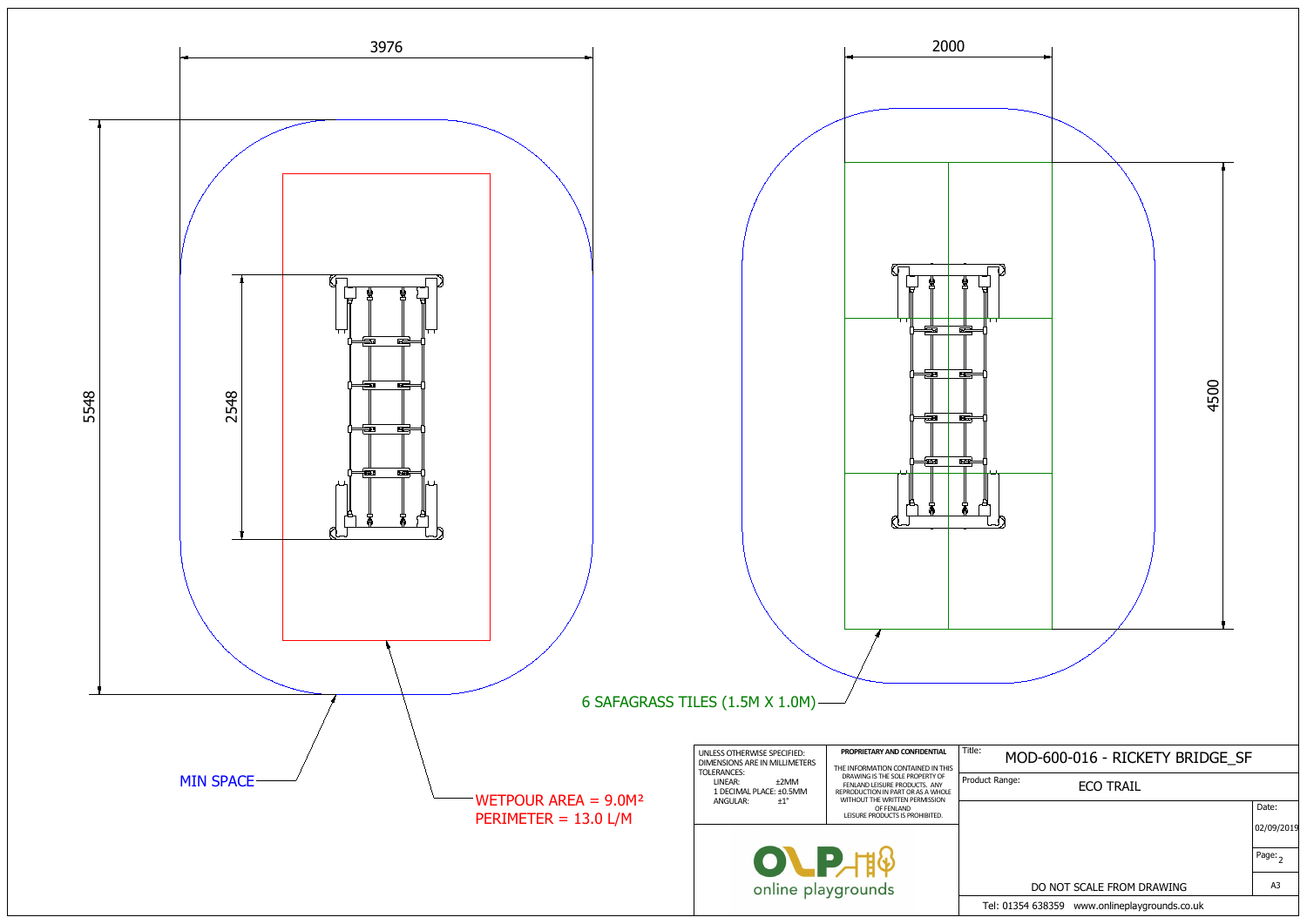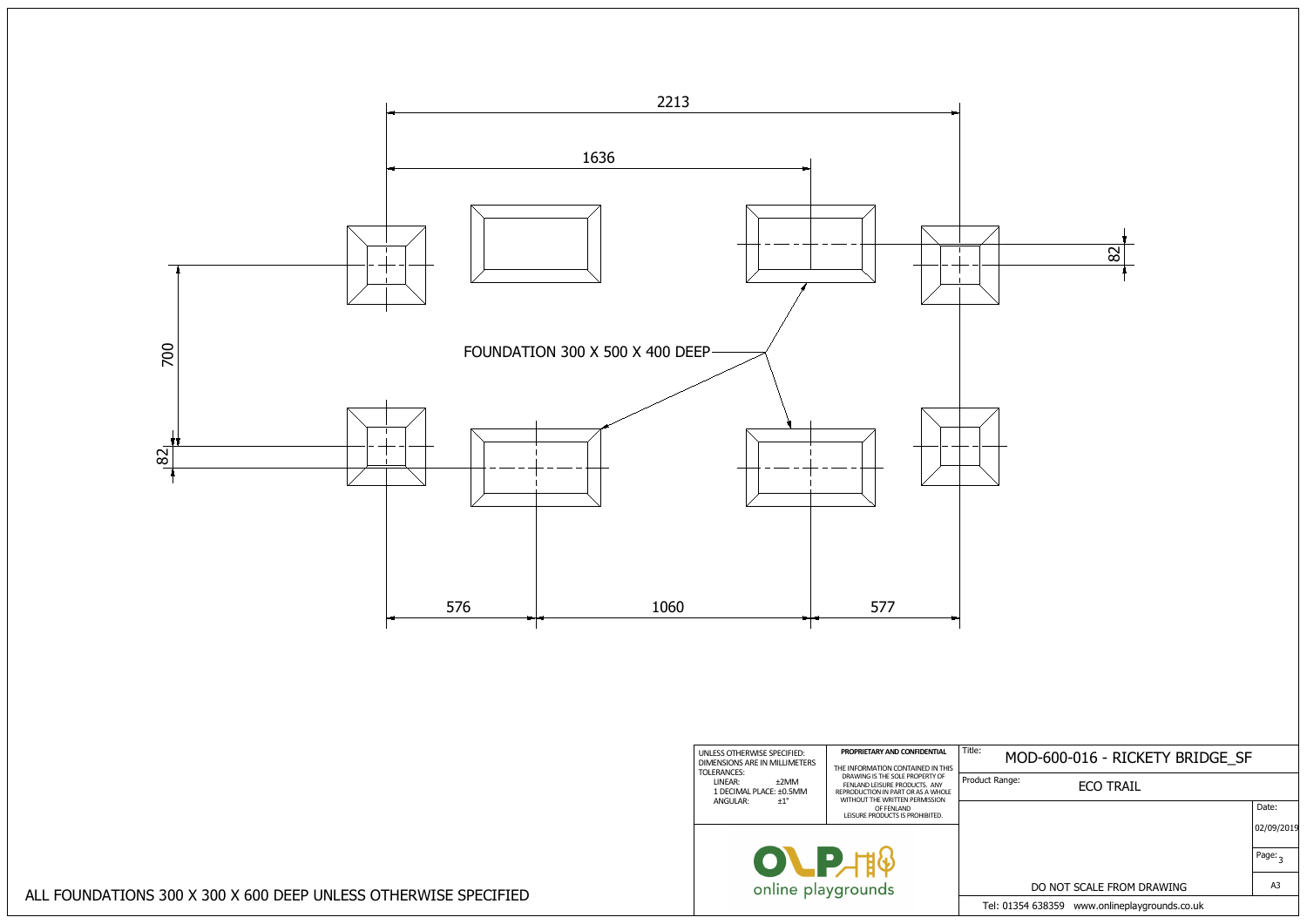$|02/09/2019$ Page: <sub>3</sub> Tel: 01354 638359 www.onlineplaygrounds.co.uk A3 Date:



ALL FOUNDATIONS 300 X 300 X 600 DEEP UNLESS OTHERWISE SPECIFIED